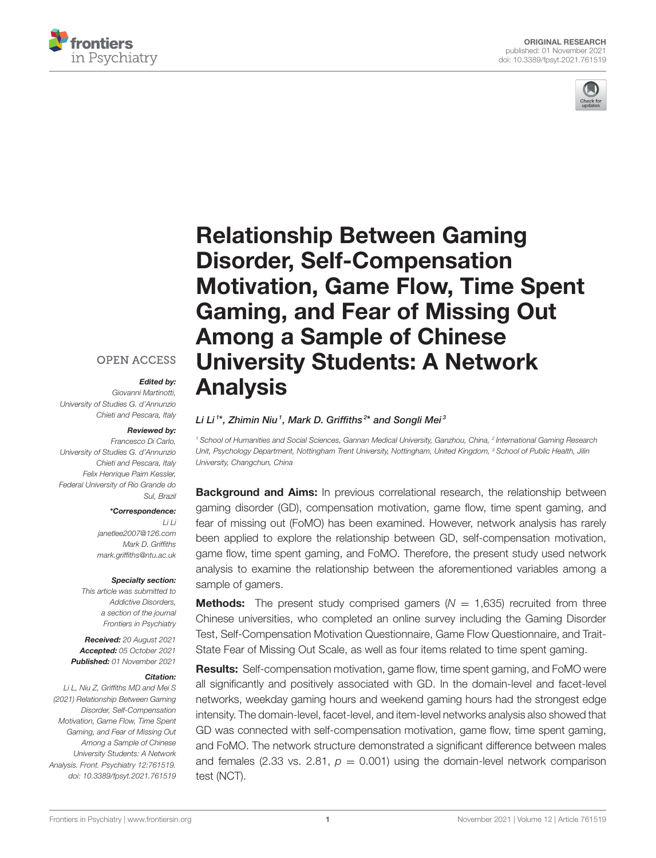



# Relationship Between Gaming Disorder, Self-Compensation [Motivation, Game Flow, Time Spent](https://www.frontiersin.org/articles/10.3389/fpsyt.2021.761519/full) Gaming, and Fear of Missing Out Among a Sample of Chinese University Students: A Network Analysis

#### Li Li<sup>1\*</sup>, Zhimin Niu<sup>1</sup>, Mark D. Griffiths<sup>2\*</sup> and Songli Mei<sup>3</sup>

*<sup>1</sup> School of Humanities and Social Sciences, Gannan Medical University, Ganzhou, China, <sup>2</sup> International Gaming Research Unit, Psychology Department, Nottingham Trent University, Nottingham, United Kingdom, <sup>3</sup> School of Public Health, Jilin University, Changchun, China*

**Background and Aims:** In previous correlational research, the relationship between gaming disorder (GD), compensation motivation, game flow, time spent gaming, and fear of missing out (FoMO) has been examined. However, network analysis has rarely been applied to explore the relationship between GD, self-compensation motivation, game flow, time spent gaming, and FoMO. Therefore, the present study used network analysis to examine the relationship between the aforementioned variables among a sample of gamers.

**Methods:** The present study comprised gamers  $(N = 1,635)$  recruited from three Chinese universities, who completed an online survey including the Gaming Disorder Test, Self-Compensation Motivation Questionnaire, Game Flow Questionnaire, and Trait-State Fear of Missing Out Scale, as well as four items related to time spent gaming.

Results: Self-compensation motivation, game flow, time spent gaming, and FoMO were all significantly and positively associated with GD. In the domain-level and facet-level networks, weekday gaming hours and weekend gaming hours had the strongest edge intensity. The domain-level, facet-level, and item-level networks analysis also showed that GD was connected with self-compensation motivation, game flow, time spent gaming, and FoMO. The network structure demonstrated a significant difference between males and females (2.33 vs. 2.81,  $p = 0.001$ ) using the domain-level network comparison test (NCT).

### **OPEN ACCESS**

#### Edited by:

*Giovanni Martinotti, University of Studies G. d'Annunzio Chieti and Pescara, Italy*

#### Reviewed by:

*Francesco Di Carlo, University of Studies G. d'Annunzio Chieti and Pescara, Italy Felix Henrique Paim Kessler, Federal University of Rio Grande do Sul, Brazil*

#### \*Correspondence:

*Li Li [janetlee2007@126.com](mailto:janetlee2007@126.com) Mark D. Griffiths [mark.griffiths@ntu.ac.uk](mailto:mark.griffiths@ntu.ac.uk)*

#### Specialty section:

*This article was submitted to Addictive Disorders, a section of the journal Frontiers in Psychiatry*

Received: *20 August 2021* Accepted: *05 October 2021* Published: *01 November 2021*

#### Citation:

*Li L, Niu Z, Griffiths MD and Mei S (2021) Relationship Between Gaming Disorder, Self-Compensation Motivation, Game Flow, Time Spent Gaming, and Fear of Missing Out Among a Sample of Chinese University Students: A Network Analysis. Front. Psychiatry 12:761519. doi: [10.3389/fpsyt.2021.761519](https://doi.org/10.3389/fpsyt.2021.761519)*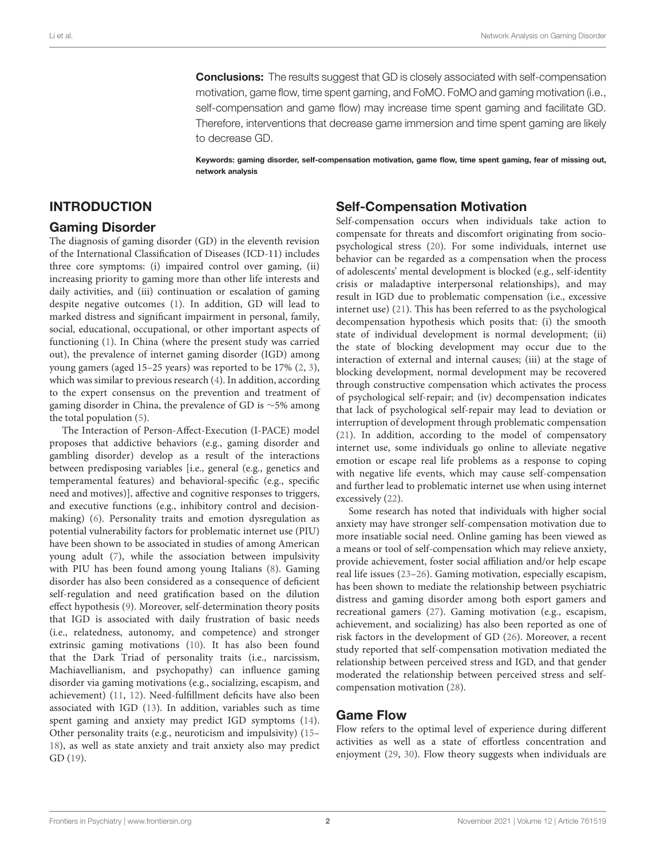**Conclusions:** The results suggest that GD is closely associated with self-compensation motivation, game flow, time spent gaming, and FoMO. FoMO and gaming motivation (i.e., self-compensation and game flow) may increase time spent gaming and facilitate GD. Therefore, interventions that decrease game immersion and time spent gaming are likely to decrease GD.

Keywords: gaming disorder, self-compensation motivation, game flow, time spent gaming, fear of missing out, network analysis

#### INTRODUCTION

#### Gaming Disorder

The diagnosis of gaming disorder (GD) in the eleventh revision of the International Classification of Diseases (ICD-11) includes three core symptoms: (i) impaired control over gaming, (ii) increasing priority to gaming more than other life interests and daily activities, and (iii) continuation or escalation of gaming despite negative outcomes [\(1\)](#page-7-0). In addition, GD will lead to marked distress and significant impairment in personal, family, social, educational, occupational, or other important aspects of functioning [\(1\)](#page-7-0). In China (where the present study was carried out), the prevalence of internet gaming disorder (IGD) among young gamers (aged 15–25 years) was reported to be 17% [\(2,](#page-7-1) [3\)](#page-7-2), which was similar to previous research [\(4\)](#page-7-3). In addition, according to the expert consensus on the prevention and treatment of gaming disorder in China, the prevalence of GD is ∼5% among the total population [\(5\)](#page-7-4).

The Interaction of Person-Affect-Execution (I-PACE) model proposes that addictive behaviors (e.g., gaming disorder and gambling disorder) develop as a result of the interactions between predisposing variables [i.e., general (e.g., genetics and temperamental features) and behavioral-specific (e.g., specific need and motives)], affective and cognitive responses to triggers, and executive functions (e.g., inhibitory control and decisionmaking) [\(6\)](#page-7-5). Personality traits and emotion dysregulation as potential vulnerability factors for problematic internet use (PIU) have been shown to be associated in studies of among American young adult [\(7\)](#page-7-6), while the association between impulsivity with PIU has been found among young Italians [\(8\)](#page-7-7). Gaming disorder has also been considered as a consequence of deficient self-regulation and need gratification based on the dilution effect hypothesis [\(9\)](#page-7-8). Moreover, self-determination theory posits that IGD is associated with daily frustration of basic needs (i.e., relatedness, autonomy, and competence) and stronger extrinsic gaming motivations [\(10\)](#page-7-9). It has also been found that the Dark Triad of personality traits (i.e., narcissism, Machiavellianism, and psychopathy) can influence gaming disorder via gaming motivations (e.g., socializing, escapism, and achievement) [\(11,](#page-7-10) [12\)](#page-7-11). Need-fulfillment deficits have also been associated with IGD [\(13\)](#page-7-12). In addition, variables such as time spent gaming and anxiety may predict IGD symptoms [\(14\)](#page-7-13). Other personality traits (e.g., neuroticism and impulsivity) [\(15–](#page-7-14) [18\)](#page-7-15), as well as state anxiety and trait anxiety also may predict GD [\(19\)](#page-8-0).

#### Self-Compensation Motivation

Self-compensation occurs when individuals take action to compensate for threats and discomfort originating from sociopsychological stress [\(20\)](#page-8-1). For some individuals, internet use behavior can be regarded as a compensation when the process of adolescents' mental development is blocked (e.g., self-identity crisis or maladaptive interpersonal relationships), and may result in IGD due to problematic compensation (i.e., excessive internet use) [\(21\)](#page-8-2). This has been referred to as the psychological decompensation hypothesis which posits that: (i) the smooth state of individual development is normal development; (ii) the state of blocking development may occur due to the interaction of external and internal causes; (iii) at the stage of blocking development, normal development may be recovered through constructive compensation which activates the process of psychological self-repair; and (iv) decompensation indicates that lack of psychological self-repair may lead to deviation or interruption of development through problematic compensation [\(21\)](#page-8-2). In addition, according to the model of compensatory internet use, some individuals go online to alleviate negative emotion or escape real life problems as a response to coping with negative life events, which may cause self-compensation and further lead to problematic internet use when using internet excessively [\(22\)](#page-8-3).

Some research has noted that individuals with higher social anxiety may have stronger self-compensation motivation due to more insatiable social need. Online gaming has been viewed as a means or tool of self-compensation which may relieve anxiety, provide achievement, foster social affiliation and/or help escape real life issues [\(23–](#page-8-4)[26\)](#page-8-5). Gaming motivation, especially escapism, has been shown to mediate the relationship between psychiatric distress and gaming disorder among both esport gamers and recreational gamers [\(27\)](#page-8-6). Gaming motivation (e.g., escapism, achievement, and socializing) has also been reported as one of risk factors in the development of GD [\(26\)](#page-8-5). Moreover, a recent study reported that self-compensation motivation mediated the relationship between perceived stress and IGD, and that gender moderated the relationship between perceived stress and selfcompensation motivation [\(28\)](#page-8-7).

#### Game Flow

Flow refers to the optimal level of experience during different activities as well as a state of effortless concentration and enjoyment [\(29,](#page-8-8) [30\)](#page-8-9). Flow theory suggests when individuals are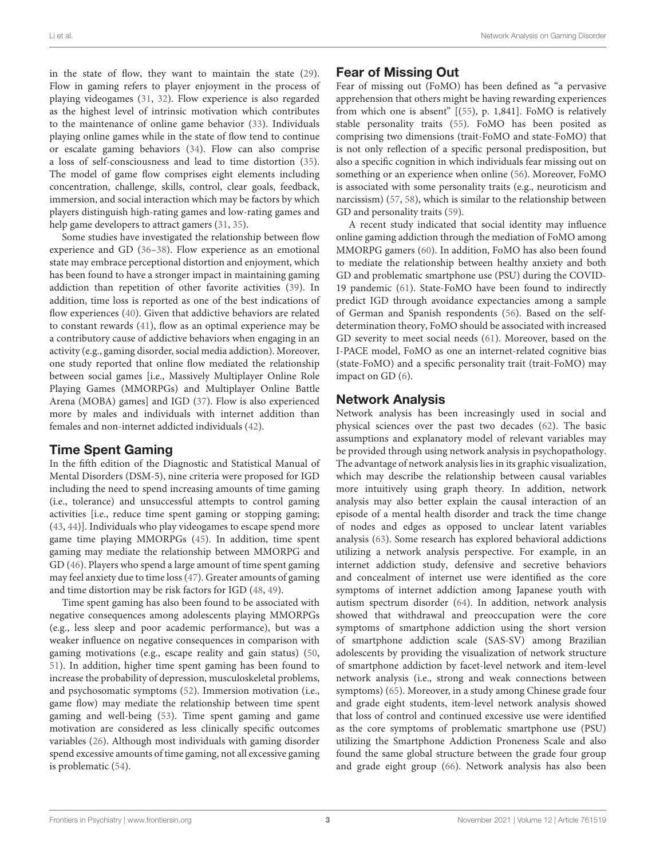in the state of flow, they want to maintain the state [\(29\)](#page-8-8). Flow in gaming refers to player enjoyment in the process of playing videogames [\(31,](#page-8-10) [32\)](#page-8-11). Flow experience is also regarded as the highest level of intrinsic motivation which contributes to the maintenance of online game behavior [\(33\)](#page-8-12). Individuals playing online games while in the state of flow tend to continue or escalate gaming behaviors [\(34\)](#page-8-13). Flow can also comprise a loss of self-consciousness and lead to time distortion [\(35\)](#page-8-14). The model of game flow comprises eight elements including concentration, challenge, skills, control, clear goals, feedback, immersion, and social interaction which may be factors by which players distinguish high-rating games and low-rating games and help game developers to attract gamers [\(31,](#page-8-10) [35\)](#page-8-14).

Some studies have investigated the relationship between flow experience and GD [\(36](#page-8-15)[–38\)](#page-8-16). Flow experience as an emotional state may embrace perceptional distortion and enjoyment, which has been found to have a stronger impact in maintaining gaming addiction than repetition of other favorite activities [\(39\)](#page-8-17). In addition, time loss is reported as one of the best indications of flow experiences [\(40\)](#page-8-18). Given that addictive behaviors are related to constant rewards [\(41\)](#page-8-19), flow as an optimal experience may be a contributory cause of addictive behaviors when engaging in an activity (e.g., gaming disorder, social media addiction). Moreover, one study reported that online flow mediated the relationship between social games [i.e., Massively Multiplayer Online Role Playing Games (MMORPGs) and Multiplayer Online Battle Arena (MOBA) games] and IGD [\(37\)](#page-8-20). Flow is also experienced more by males and individuals with internet addition than females and non-internet addicted individuals [\(42\)](#page-8-21).

### Time Spent Gaming

In the fifth edition of the Diagnostic and Statistical Manual of Mental Disorders (DSM-5), nine criteria were proposed for IGD including the need to spend increasing amounts of time gaming (i.e., tolerance) and unsuccessful attempts to control gaming activities [i.e., reduce time spent gaming or stopping gaming; [\(43,](#page-8-22) [44\)](#page-8-23)]. Individuals who play videogames to escape spend more game time playing MMORPGs [\(45\)](#page-8-24). In addition, time spent gaming may mediate the relationship between MMORPG and GD [\(46\)](#page-8-25). Players who spend a large amount of time spent gaming may feel anxiety due to time loss [\(47\)](#page-8-26). Greater amounts of gaming and time distortion may be risk factors for IGD [\(48,](#page-8-27) [49\)](#page-8-28).

Time spent gaming has also been found to be associated with negative consequences among adolescents playing MMORPGs (e.g., less sleep and poor academic performance), but was a weaker influence on negative consequences in comparison with gaming motivations (e.g., escape reality and gain status) [\(50,](#page-8-29) [51\)](#page-8-30). In addition, higher time spent gaming has been found to increase the probability of depression, musculoskeletal problems, and psychosomatic symptoms [\(52\)](#page-8-31). Immersion motivation (i.e., game flow) may mediate the relationship between time spent gaming and well-being [\(53\)](#page-8-32). Time spent gaming and game motivation are considered as less clinically specific outcomes variables [\(26\)](#page-8-5). Although most individuals with gaming disorder spend excessive amounts of time gaming, not all excessive gaming is problematic [\(54\)](#page-8-33).

# Fear of Missing Out

Fear of missing out (FoMO) has been defined as "a pervasive apprehension that others might be having rewarding experiences from which one is absent" [[\(55\)](#page-8-34), p. 1,841]. FoMO is relatively stable personality traits [\(55\)](#page-8-34). FoMO has been posited as comprising two dimensions (trait-FoMO and state-FoMO) that is not only reflection of a specific personal predisposition, but also a specific cognition in which individuals fear missing out on something or an experience when online [\(56\)](#page-8-35). Moreover, FoMO is associated with some personality traits (e.g., neuroticism and narcissism) [\(57,](#page-8-36) [58\)](#page-8-37), which is similar to the relationship between GD and personality traits [\(59\)](#page-8-38).

A recent study indicated that social identity may influence online gaming addiction through the mediation of FoMO among MMORPG gamers [\(60\)](#page-8-39). In addition, FoMO has also been found to mediate the relationship between healthy anxiety and both GD and problematic smartphone use (PSU) during the COVID-19 pandemic [\(61\)](#page-9-0). State-FoMO have been found to indirectly predict IGD through avoidance expectancies among a sample of German and Spanish respondents [\(56\)](#page-8-35). Based on the selfdetermination theory, FoMO should be associated with increased GD severity to meet social needs [\(61\)](#page-9-0). Moreover, based on the I-PACE model, FoMO as one an internet-related cognitive bias (state-FoMO) and a specific personality trait (trait-FoMO) may impact on GD [\(6\)](#page-7-5).

## Network Analysis

Network analysis has been increasingly used in social and physical sciences over the past two decades [\(62\)](#page-9-1). The basic assumptions and explanatory model of relevant variables may be provided through using network analysis in psychopathology. The advantage of network analysis lies in its graphic visualization, which may describe the relationship between causal variables more intuitively using graph theory. In addition, network analysis may also better explain the causal interaction of an episode of a mental health disorder and track the time change of nodes and edges as opposed to unclear latent variables analysis [\(63\)](#page-9-2). Some research has explored behavioral addictions utilizing a network analysis perspective. For example, in an internet addiction study, defensive and secretive behaviors and concealment of internet use were identified as the core symptoms of internet addiction among Japanese youth with autism spectrum disorder [\(64\)](#page-9-3). In addition, network analysis showed that withdrawal and preoccupation were the core symptoms of smartphone addiction using the short version of smartphone addiction scale (SAS-SV) among Brazilian adolescents by providing the visualization of network structure of smartphone addiction by facet-level network and item-level network analysis (i.e., strong and weak connections between symptoms) [\(65\)](#page-9-4). Moreover, in a study among Chinese grade four and grade eight students, item-level network analysis showed that loss of control and continued excessive use were identified as the core symptoms of problematic smartphone use (PSU) utilizing the Smartphone Addiction Proneness Scale and also found the same global structure between the grade four group and grade eight group [\(66\)](#page-9-5). Network analysis has also been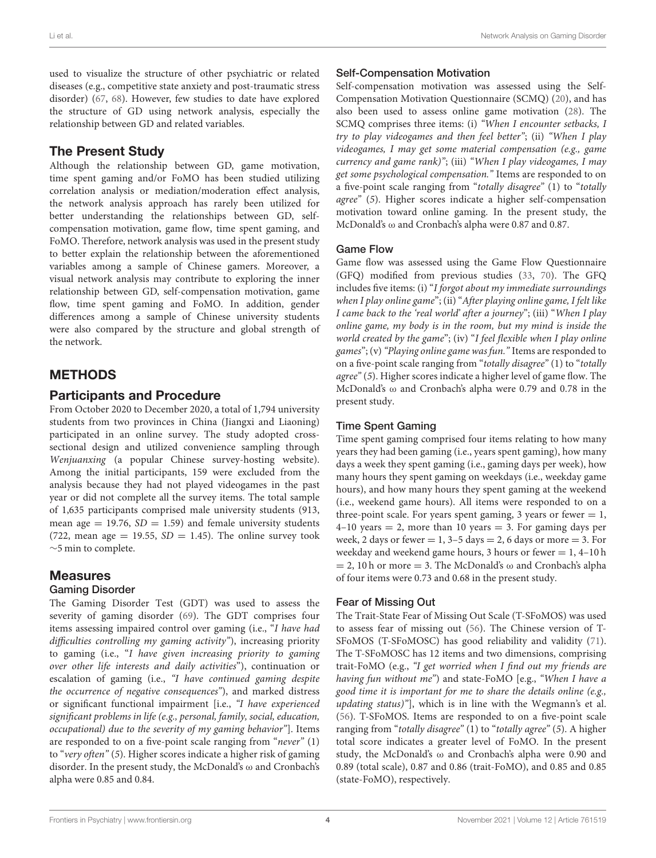used to visualize the structure of other psychiatric or related diseases (e.g., competitive state anxiety and post-traumatic stress disorder) [\(67,](#page-9-6) [68\)](#page-9-7). However, few studies to date have explored the structure of GD using network analysis, especially the relationship between GD and related variables.

# The Present Study

Although the relationship between GD, game motivation, time spent gaming and/or FoMO has been studied utilizing correlation analysis or mediation/moderation effect analysis, the network analysis approach has rarely been utilized for better understanding the relationships between GD, selfcompensation motivation, game flow, time spent gaming, and FoMO. Therefore, network analysis was used in the present study to better explain the relationship between the aforementioned variables among a sample of Chinese gamers. Moreover, a visual network analysis may contribute to exploring the inner relationship between GD, self-compensation motivation, game flow, time spent gaming and FoMO. In addition, gender differences among a sample of Chinese university students were also compared by the structure and global strength of the network.

# METHODS

## Participants and Procedure

From October 2020 to December 2020, a total of 1,794 university students from two provinces in China (Jiangxi and Liaoning) participated in an online survey. The study adopted crosssectional design and utilized convenience sampling through Wenjuanxing (a popular Chinese survey-hosting website). Among the initial participants, 159 were excluded from the analysis because they had not played videogames in the past year or did not complete all the survey items. The total sample of 1,635 participants comprised male university students (913, mean age  $= 19.76$ ,  $SD = 1.59$  and female university students (722, mean age = 19.55,  $SD = 1.45$ ). The online survey took ∼5 min to complete.

# Measures

### Gaming Disorder

The Gaming Disorder Test (GDT) was used to assess the severity of gaming disorder [\(69\)](#page-9-8). The GDT comprises four items assessing impaired control over gaming (i.e., "I have had difficulties controlling my gaming activity"), increasing priority to gaming (i.e., "I have given increasing priority to gaming over other life interests and daily activities"), continuation or escalation of gaming (i.e., "I have continued gaming despite the occurrence of negative consequences"), and marked distress or significant functional impairment [i.e., "I have experienced significant problems in life (e.g., personal, family, social, education, occupational) due to the severity of my gaming behavior"]. Items are responded to on a five-point scale ranging from "never" (1) to "very often" (5). Higher scores indicate a higher risk of gaming disorder. In the present study, the McDonald's  $\omega$  and Cronbach's alpha were 0.85 and 0.84.

## Self-Compensation Motivation

Self-compensation motivation was assessed using the Self-Compensation Motivation Questionnaire (SCMQ) [\(20\)](#page-8-1), and has also been used to assess online game motivation [\(28\)](#page-8-7). The SCMQ comprises three items: (i) "When I encounter setbacks, I try to play videogames and then feel better"; (ii) "When I play videogames, I may get some material compensation (e.g., game currency and game rank)"; (iii) "When I play videogames, I may get some psychological compensation." Items are responded to on a five-point scale ranging from "totally disagree" (1) to "totally agree" (5). Higher scores indicate a higher self-compensation motivation toward online gaming. In the present study, the McDonald's ω and Cronbach's alpha were 0.87 and 0.87.

#### Game Flow

Game flow was assessed using the Game Flow Questionnaire (GFQ) modified from previous studies [\(33,](#page-8-12) [70\)](#page-9-9). The GFQ includes five items: (i) "I forgot about my immediate surroundings when I play online game"; (ii) "After playing online game, I felt like I came back to the 'real world' after a journey"; (iii) "When I play online game, my body is in the room, but my mind is inside the world created by the game"; (iv) "I feel flexible when I play online games"; (v)"Playing online game was fun." Items are responded to on a five-point scale ranging from "totally disagree" (1) to "totally agree" (5). Higher scores indicate a higher level of game flow. The McDonald's ω and Cronbach's alpha were 0.79 and 0.78 in the present study.

### Time Spent Gaming

Time spent gaming comprised four items relating to how many years they had been gaming (i.e., years spent gaming), how many days a week they spent gaming (i.e., gaming days per week), how many hours they spent gaming on weekdays (i.e., weekday game hours), and how many hours they spent gaming at the weekend (i.e., weekend game hours). All items were responded to on a three-point scale. For years spent gaming, 3 years or fewer  $= 1$ ,  $4-10$  years  $= 2$ , more than 10 years  $= 3$ . For gaming days per week, 2 days or fewer  $= 1, 3-5$  days  $= 2, 6$  days or more  $= 3$ . For weekday and weekend game hours, 3 hours or fewer  $= 1, 4-10$  h  $= 2$ , 10 h or more  $= 3$ . The McDonald's  $\omega$  and Cronbach's alpha of four items were 0.73 and 0.68 in the present study.

### Fear of Missing Out

The Trait-State Fear of Missing Out Scale (T-SFoMOS) was used to assess fear of missing out [\(56\)](#page-8-35). The Chinese version of T-SFoMOS (T-SFoMOSC) has good reliability and validity [\(71\)](#page-9-10). The T-SFoMOSC has 12 items and two dimensions, comprising trait-FoMO (e.g., "I get worried when I find out my friends are having fun without me") and state-FoMO [e.g., "When I have a good time it is important for me to share the details online (e.g., updating status)"], which is in line with the Wegmann's et al. [\(56\)](#page-8-35). T-SFoMOS. Items are responded to on a five-point scale ranging from "totally disagree" (1) to "totally agree" (5). A higher total score indicates a greater level of FoMO. In the present study, the McDonald's ω and Cronbach's alpha were 0.90 and 0.89 (total scale), 0.87 and 0.86 (trait-FoMO), and 0.85 and 0.85 (state-FoMO), respectively.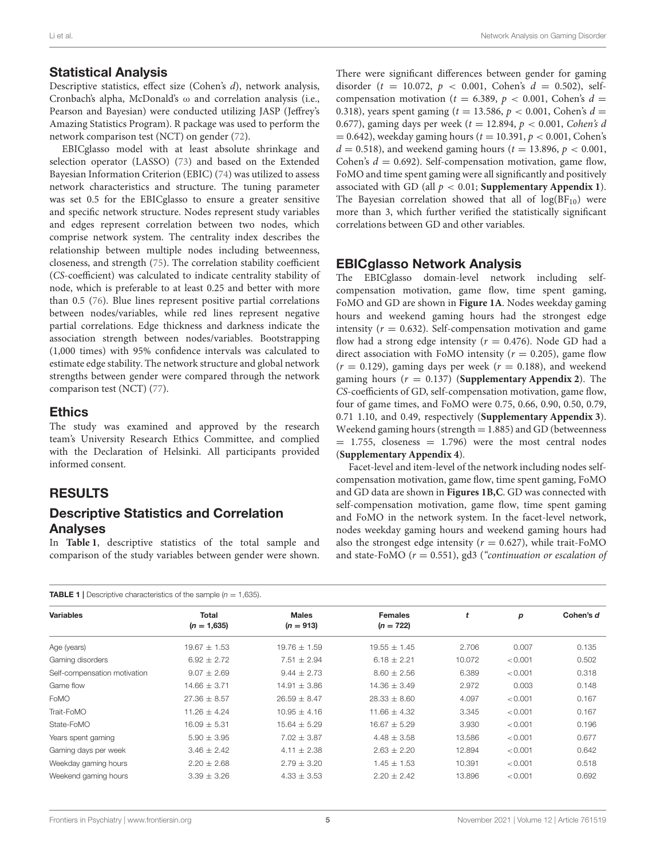#### Statistical Analysis

Descriptive statistics, effect size (Cohen's d), network analysis, Cronbach's alpha, McDonald's ω and correlation analysis (i.e., Pearson and Bayesian) were conducted utilizing JASP (Jeffrey's Amazing Statistics Program). R package was used to perform the network comparison test (NCT) on gender [\(72\)](#page-9-11).

EBICglasso model with at least absolute shrinkage and selection operator (LASSO) [\(73\)](#page-9-12) and based on the Extended Bayesian Information Criterion (EBIC) [\(74\)](#page-9-13) was utilized to assess network characteristics and structure. The tuning parameter was set 0.5 for the EBICglasso to ensure a greater sensitive and specific network structure. Nodes represent study variables and edges represent correlation between two nodes, which comprise network system. The centrality index describes the relationship between multiple nodes including betweenness, closeness, and strength [\(75\)](#page-9-14). The correlation stability coefficient (CS-coefficient) was calculated to indicate centrality stability of node, which is preferable to at least 0.25 and better with more than 0.5 [\(76\)](#page-9-15). Blue lines represent positive partial correlations between nodes/variables, while red lines represent negative partial correlations. Edge thickness and darkness indicate the association strength between nodes/variables. Bootstrapping (1,000 times) with 95% confidence intervals was calculated to estimate edge stability. The network structure and global network strengths between gender were compared through the network comparison test (NCT) [\(77\)](#page-9-16).

#### **Ethics**

The study was examined and approved by the research team's University Research Ethics Committee, and complied with the Declaration of Helsinki. All participants provided informed consent.

## RESULTS

## Descriptive Statistics and Correlation Analyses

In **[Table 1](#page-4-0)**, descriptive statistics of the total sample and comparison of the study variables between gender were shown.

<span id="page-4-0"></span>TABLE 1 | Descriptive characteristics of the sample (*n* = 1,635).

There were significant differences between gender for gaming disorder (t = 10.072,  $p < 0.001$ , Cohen's  $d = 0.502$ ), selfcompensation motivation ( $t = 6.389$ ,  $p < 0.001$ , Cohen's  $d =$ 0.318), years spent gaming ( $t = 13.586$ ,  $p < 0.001$ , Cohen's  $d =$ 0.677), gaming days per week ( $t = 12.894$ ,  $p < 0.001$ , Cohen's d  $= 0.642$ ), weekday gaming hours ( $t = 10.391, p < 0.001$ , Cohen's  $d = 0.518$ ), and weekend gaming hours ( $t = 13.896$ ,  $p < 0.001$ , Cohen's  $d = 0.692$ ). Self-compensation motivation, game flow, FoMO and time spent gaming were all significantly and positively associated with GD (all  $p < 0.01$ ; **[Supplementary Appendix 1](#page-7-16)**). The Bayesian correlation showed that all of  $log(BF_{10})$  were more than 3, which further verified the statistically significant correlations between GD and other variables.

#### EBICglasso Network Analysis

The EBICglasso domain-level network including selfcompensation motivation, game flow, time spent gaming, FoMO and GD are shown in **[Figure 1A](#page-5-0)**. Nodes weekday gaming hours and weekend gaming hours had the strongest edge intensity ( $r = 0.632$ ). Self-compensation motivation and game flow had a strong edge intensity ( $r = 0.476$ ). Node GD had a direct association with FoMO intensity ( $r = 0.205$ ), game flow  $(r = 0.129)$ , gaming days per week  $(r = 0.188)$ , and weekend gaming hours  $(r = 0.137)$  (**[Supplementary Appendix 2](#page-7-16)**). The CS-coefficients of GD, self-compensation motivation, game flow, four of game times, and FoMO were 0.75, 0.66, 0.90, 0.50, 0.79, 0.71 1.10, and 0.49, respectively (**[Supplementary Appendix 3](#page-7-16)**). Weekend gaming hours (strength  $= 1.885$ ) and GD (betweenness  $= 1.755$ , closeness  $= 1.796$ ) were the most central nodes (**[Supplementary Appendix 4](#page-7-16)**).

Facet-level and item-level of the network including nodes selfcompensation motivation, game flow, time spent gaming, FoMO and GD data are shown in **[Figures 1B,C](#page-5-0)**. GD was connected with self-compensation motivation, game flow, time spent gaming and FoMO in the network system. In the facet-level network, nodes weekday gaming hours and weekend gaming hours had also the strongest edge intensity ( $r = 0.627$ ), while trait-FoMO and state-FoMO ( $r = 0.551$ ), gd3 ("continuation or escalation of

| <b>INDEE I</b> POSSIBING SHOROGISHS SHOROGING WITHOUT $\mathbf{u} = 1,000$ . |                        |                             |                               |        |         |           |
|------------------------------------------------------------------------------|------------------------|-----------------------------|-------------------------------|--------|---------|-----------|
| <b>Variables</b>                                                             | Total<br>$(n = 1,635)$ | <b>Males</b><br>$(n = 913)$ | <b>Females</b><br>$(n = 722)$ | t      | p       | Cohen's d |
| Age (years)                                                                  | $19.67 \pm 1.53$       | $19.76 \pm 1.59$            | $19.55 \pm 1.45$              | 2.706  | 0.007   | 0.135     |
| Gaming disorders                                                             | $6.92 \pm 2.72$        | $7.51 \pm 2.94$             | $6.18 \pm 2.21$               | 10.072 | < 0.001 | 0.502     |
| Self-compensation motivation                                                 | $9.07 \pm 2.69$        | $9.44 \pm 2.73$             | $8.60 \pm 2.56$               | 6.389  | < 0.001 | 0.318     |
| Game flow                                                                    | $14.66 \pm 3.71$       | $14.91 \pm 3.86$            | $14.36 \pm 3.49$              | 2.972  | 0.003   | 0.148     |
| FoMO                                                                         | $27.36 \pm 8.57$       | $26.59 \pm 8.47$            | $28.33 \pm 8.60$              | 4.097  | < 0.001 | 0.167     |
| Trait-FoMO                                                                   | $11.26 + 4.24$         | $10.95 \pm 4.16$            | $11.66 \pm 4.32$              | 3.345  | < 0.001 | 0.167     |
| State-FoMO                                                                   | $16.09 \pm 5.31$       | $15.64 \pm 5.29$            | $16.67 \pm 5.29$              | 3.930  | < 0.001 | 0.196     |
| Years spent gaming                                                           | $5.90 \pm 3.95$        | $7.02 \pm 3.87$             | $4.48 \pm 3.58$               | 13.586 | < 0.001 | 0.677     |
| Gaming days per week                                                         | $3.46 \pm 2.42$        | $4.11 \pm 2.38$             | $2.63 \pm 2.20$               | 12.894 | < 0.001 | 0.642     |
| Weekday gaming hours                                                         | $2.20 \pm 2.68$        | $2.79 \pm 3.20$             | $1.45 \pm 1.53$               | 10.391 | < 0.001 | 0.518     |
| Weekend gaming hours                                                         | $3.39 \pm 3.26$        | $4.33 \pm 3.53$             | $2.20 \pm 2.42$               | 13.896 | < 0.001 | 0.692     |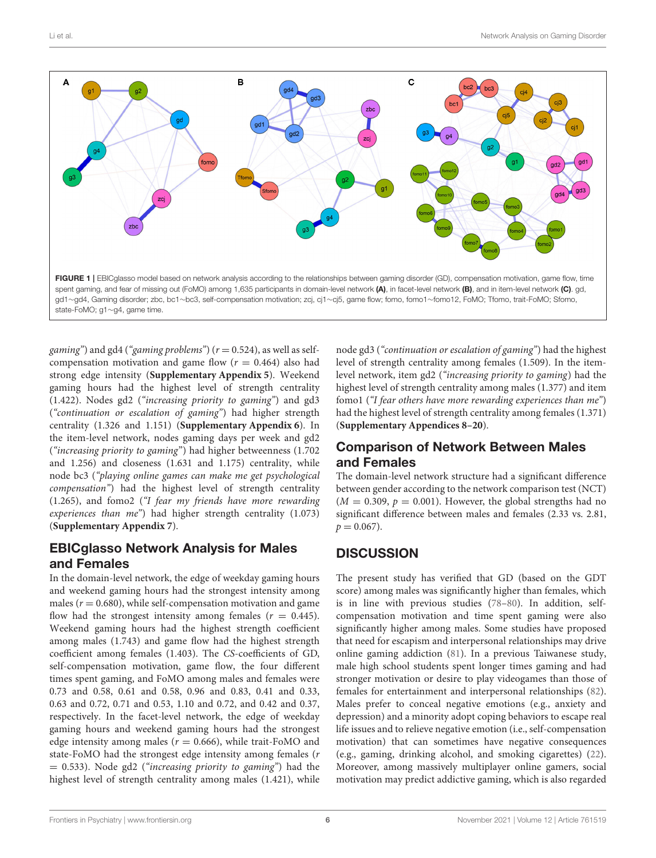<span id="page-5-0"></span>gaming") and gd4 ("gaming problems") ( $r = 0.524$ ), as well as selfcompensation motivation and game flow  $(r = 0.464)$  also had strong edge intensity (**[Supplementary Appendix 5](#page-7-16)**). Weekend gaming hours had the highest level of strength centrality (1.422). Nodes gd2 ("increasing priority to gaming") and gd3 ("continuation or escalation of gaming") had higher strength centrality (1.326 and 1.151) (**[Supplementary Appendix 6](#page-7-16)**). In the item-level network, nodes gaming days per week and gd2 ("increasing priority to gaming") had higher betweenness (1.702 and 1.256) and closeness (1.631 and 1.175) centrality, while node bc3 ("playing online games can make me get psychological compensation") had the highest level of strength centrality (1.265), and fomo2 ("I fear my friends have more rewarding experiences than me") had higher strength centrality (1.073) (**[Supplementary Appendix 7](#page-7-16)**).

## EBICglasso Network Analysis for Males and Females

In the domain-level network, the edge of weekday gaming hours and weekend gaming hours had the strongest intensity among males ( $r = 0.680$ ), while self-compensation motivation and game flow had the strongest intensity among females ( $r = 0.445$ ). Weekend gaming hours had the highest strength coefficient among males (1.743) and game flow had the highest strength coefficient among females (1.403). The CS-coefficients of GD, self-compensation motivation, game flow, the four different times spent gaming, and FoMO among males and females were 0.73 and 0.58, 0.61 and 0.58, 0.96 and 0.83, 0.41 and 0.33, 0.63 and 0.72, 0.71 and 0.53, 1.10 and 0.72, and 0.42 and 0.37, respectively. In the facet-level network, the edge of weekday gaming hours and weekend gaming hours had the strongest edge intensity among males ( $r = 0.666$ ), while trait-FoMO and state-FoMO had the strongest edge intensity among females (r  $= 0.533$ ). Node gd2 ("increasing priority to gaming") had the highest level of strength centrality among males (1.421), while node gd3 ("continuation or escalation of gaming") had the highest level of strength centrality among females (1.509). In the itemlevel network, item gd2 ("increasing priority to gaming) had the highest level of strength centrality among males (1.377) and item fomo1 ("I fear others have more rewarding experiences than me") had the highest level of strength centrality among females (1.371) (**[Supplementary Appendices 8–20](#page-7-16)**).

## Comparison of Network Between Males and Females

The domain-level network structure had a significant difference between gender according to the network comparison test (NCT)  $(M = 0.309, p = 0.001)$ . However, the global strengths had no significant difference between males and females (2.33 vs. 2.81,  $p = 0.067$ ).

# **DISCUSSION**

The present study has verified that GD (based on the GDT score) among males was significantly higher than females, which is in line with previous studies [\(78](#page-9-17)[–80\)](#page-9-18). In addition, selfcompensation motivation and time spent gaming were also significantly higher among males. Some studies have proposed that need for escapism and interpersonal relationships may drive online gaming addiction [\(81\)](#page-9-19). In a previous Taiwanese study, male high school students spent longer times gaming and had stronger motivation or desire to play videogames than those of females for entertainment and interpersonal relationships [\(82\)](#page-9-20). Males prefer to conceal negative emotions (e.g., anxiety and depression) and a minority adopt coping behaviors to escape real life issues and to relieve negative emotion (i.e., self-compensation motivation) that can sometimes have negative consequences (e.g., gaming, drinking alcohol, and smoking cigarettes) [\(22\)](#page-8-3). Moreover, among massively multiplayer online gamers, social motivation may predict addictive gaming, which is also regarded

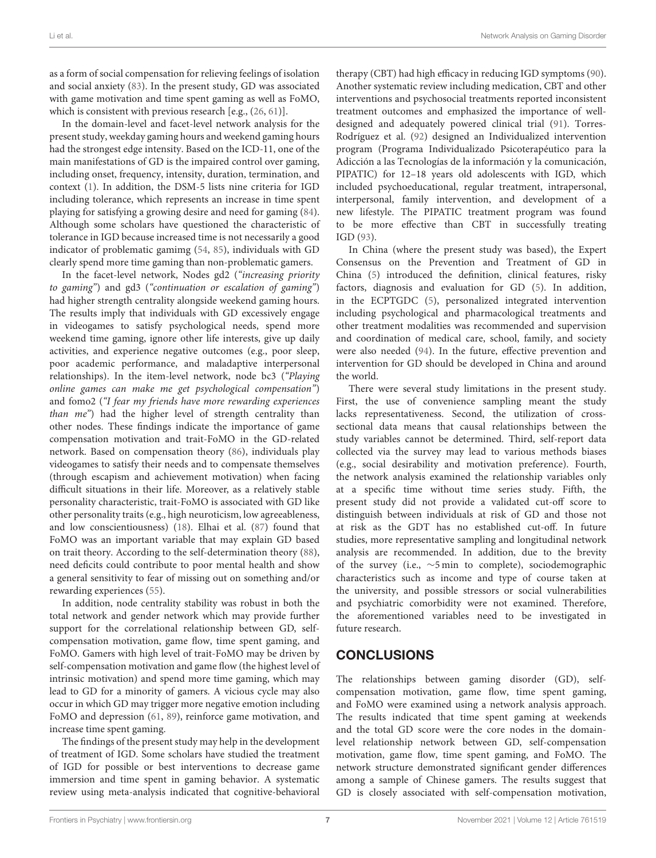as a form of social compensation for relieving feelings of isolation and social anxiety [\(83\)](#page-9-21). In the present study, GD was associated with game motivation and time spent gaming as well as FoMO, which is consistent with previous research [e.g., [\(26,](#page-8-5) [61\)](#page-9-0)].

In the domain-level and facet-level network analysis for the present study, weekday gaming hours and weekend gaming hours had the strongest edge intensity. Based on the ICD-11, one of the main manifestations of GD is the impaired control over gaming, including onset, frequency, intensity, duration, termination, and context [\(1\)](#page-7-0). In addition, the DSM-5 lists nine criteria for IGD including tolerance, which represents an increase in time spent playing for satisfying a growing desire and need for gaming [\(84\)](#page-9-22). Although some scholars have questioned the characteristic of tolerance in IGD because increased time is not necessarily a good indicator of problematic gamimg [\(54,](#page-8-33) [85\)](#page-9-23), individuals with GD clearly spend more time gaming than non-problematic gamers.

In the facet-level network, Nodes gd2 ("increasing priority to gaming") and gd3 ("continuation or escalation of gaming") had higher strength centrality alongside weekend gaming hours. The results imply that individuals with GD excessively engage in videogames to satisfy psychological needs, spend more weekend time gaming, ignore other life interests, give up daily activities, and experience negative outcomes (e.g., poor sleep, poor academic performance, and maladaptive interpersonal relationships). In the item-level network, node bc3 ("Playing online games can make me get psychological compensation") and fomo2 ("I fear my friends have more rewarding experiences than me") had the higher level of strength centrality than other nodes. These findings indicate the importance of game compensation motivation and trait-FoMO in the GD-related network. Based on compensation theory [\(86\)](#page-9-24), individuals play videogames to satisfy their needs and to compensate themselves (through escapism and achievement motivation) when facing difficult situations in their life. Moreover, as a relatively stable personality characteristic, trait-FoMO is associated with GD like other personality traits (e.g., high neuroticism, low agreeableness, and low conscientiousness) [\(18\)](#page-7-15). Elhai et al. [\(87\)](#page-9-25) found that FoMO was an important variable that may explain GD based on trait theory. According to the self-determination theory [\(88\)](#page-9-26), need deficits could contribute to poor mental health and show a general sensitivity to fear of missing out on something and/or rewarding experiences [\(55\)](#page-8-34).

In addition, node centrality stability was robust in both the total network and gender network which may provide further support for the correlational relationship between GD, selfcompensation motivation, game flow, time spent gaming, and FoMO. Gamers with high level of trait-FoMO may be driven by self-compensation motivation and game flow (the highest level of intrinsic motivation) and spend more time gaming, which may lead to GD for a minority of gamers. A vicious cycle may also occur in which GD may trigger more negative emotion including FoMO and depression [\(61,](#page-9-0) [89\)](#page-9-27), reinforce game motivation, and increase time spent gaming.

The findings of the present study may help in the development of treatment of IGD. Some scholars have studied the treatment of IGD for possible or best interventions to decrease game immersion and time spent in gaming behavior. A systematic review using meta-analysis indicated that cognitive-behavioral therapy (CBT) had high efficacy in reducing IGD symptoms [\(90\)](#page-9-28). Another systematic review including medication, CBT and other interventions and psychosocial treatments reported inconsistent treatment outcomes and emphasized the importance of welldesigned and adequately powered clinical trial [\(91\)](#page-9-29). Torres-Rodríguez et al. [\(92\)](#page-9-30) designed an Individualized intervention program (Programa Individualizado Psicoterapéutico para la Adicción a las Tecnologías de la información y la comunicación, PIPATIC) for 12–18 years old adolescents with IGD, which included psychoeducational, regular treatment, intrapersonal, interpersonal, family intervention, and development of a new lifestyle. The PIPATIC treatment program was found to be more effective than CBT in successfully treating IGD [\(93\)](#page-9-31).

In China (where the present study was based), the Expert Consensus on the Prevention and Treatment of GD in China [\(5\)](#page-7-4) introduced the definition, clinical features, risky factors, diagnosis and evaluation for GD [\(5\)](#page-7-4). In addition, in the ECPTGDC [\(5\)](#page-7-4), personalized integrated intervention including psychological and pharmacological treatments and other treatment modalities was recommended and supervision and coordination of medical care, school, family, and society were also needed [\(94\)](#page-9-32). In the future, effective prevention and intervention for GD should be developed in China and around the world.

There were several study limitations in the present study. First, the use of convenience sampling meant the study lacks representativeness. Second, the utilization of crosssectional data means that causal relationships between the study variables cannot be determined. Third, self-report data collected via the survey may lead to various methods biases (e.g., social desirability and motivation preference). Fourth, the network analysis examined the relationship variables only at a specific time without time series study. Fifth, the present study did not provide a validated cut-off score to distinguish between individuals at risk of GD and those not at risk as the GDT has no established cut-off. In future studies, more representative sampling and longitudinal network analysis are recommended. In addition, due to the brevity of the survey (i.e., ∼5 min to complete), sociodemographic characteristics such as income and type of course taken at the university, and possible stressors or social vulnerabilities and psychiatric comorbidity were not examined. Therefore, the aforementioned variables need to be investigated in future research.

# **CONCLUSIONS**

The relationships between gaming disorder (GD), selfcompensation motivation, game flow, time spent gaming, and FoMO were examined using a network analysis approach. The results indicated that time spent gaming at weekends and the total GD score were the core nodes in the domainlevel relationship network between GD, self-compensation motivation, game flow, time spent gaming, and FoMO. The network structure demonstrated significant gender differences among a sample of Chinese gamers. The results suggest that GD is closely associated with self-compensation motivation,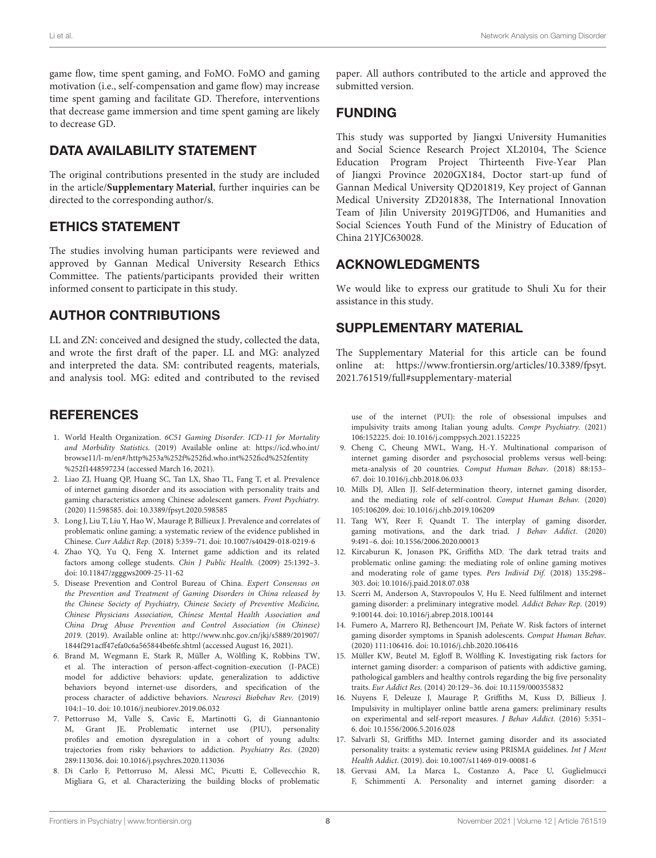game flow, time spent gaming, and FoMO. FoMO and gaming motivation (i.e., self-compensation and game flow) may increase time spent gaming and facilitate GD. Therefore, interventions that decrease game immersion and time spent gaming are likely to decrease GD.

## DATA AVAILABILITY STATEMENT

The original contributions presented in the study are included in the article/**[Supplementary Material](#page-7-16)**, further inquiries can be directed to the corresponding author/s.

## ETHICS STATEMENT

The studies involving human participants were reviewed and approved by Gannan Medical University Research Ethics Committee. The patients/participants provided their written informed consent to participate in this study.

## AUTHOR CONTRIBUTIONS

LL and ZN: conceived and designed the study, collected the data, and wrote the first draft of the paper. LL and MG: analyzed and interpreted the data. SM: contributed reagents, materials, and analysis tool. MG: edited and contributed to the revised

## **REFERENCES**

- <span id="page-7-0"></span>1. World Health Organization. 6C51 Gaming Disorder. ICD-11 for Mortality and Morbidity Statistics. (2019) Available online at: [https://icd.who.int/](https://icd.who.int/browse11/l-m/en#/http%253a%252f%252fid.who.int%252ficd%252fentity%252f1448597234) [browse11/l-m/en#/http%253a%252f%252fid.who.int%252ficd%252fentity](https://icd.who.int/browse11/l-m/en#/http%253a%252f%252fid.who.int%252ficd%252fentity%252f1448597234) [%252f1448597234](https://icd.who.int/browse11/l-m/en#/http%253a%252f%252fid.who.int%252ficd%252fentity%252f1448597234) (accessed March 16, 2021).
- <span id="page-7-1"></span>2. Liao ZJ, Huang QP, Huang SC, Tan LX, Shao TL, Fang T, et al. Prevalence of internet gaming disorder and its association with personality traits and gaming characteristics among Chinese adolescent gamers. Front Psychiatry. (2020) 11:598585. doi: [10.3389/fpsyt.2020.598585](https://doi.org/10.3389/fpsyt.2020.598585)
- <span id="page-7-2"></span>3. Long J, Liu T, Liu Y, Hao W, Maurage P, Billieux J. Prevalence and correlates of problematic online gaming: a systematic review of the evidence published in Chinese. Curr Addict Rep. (2018) 5:359–71. doi: [10.1007/s40429-018-0219-6](https://doi.org/10.1007/s40429-018-0219-6)
- <span id="page-7-3"></span>4. Zhao YQ, Yu Q, Feng X. Internet game addiction and its related factors among college students. Chin J Public Health. (2009) 25:1392–3. doi: [10.11847/zgggws2009-25-11-62](https://doi.org/10.11847/zgggws2009-25-11-62)
- <span id="page-7-4"></span>5. Disease Prevention and Control Bureau of China. Expert Consensus on the Prevention and Treatment of Gaming Disorders in China released by the Chinese Society of Psychiatry, Chinese Society of Preventive Medicine, Chinese Physicians Association, Chinese Mental Health Association and China Drug Abuse Prevention and Control Association (in Chinese) 2019. (2019). Available online at: [http://www.nhc.gov.cn/jkj/s5889/201907/](http://www.nhc.gov.cn/jkj/s5889/201907/1844f291acff47efa0c6a565844be6fe.shtml) [1844f291acff47efa0c6a565844be6fe.shtml](http://www.nhc.gov.cn/jkj/s5889/201907/1844f291acff47efa0c6a565844be6fe.shtml) (accessed August 16, 2021).
- <span id="page-7-5"></span>6. Brand M, Wegmann E, Stark R, Müller A, Wölfling K, Robbins TW, et al. The interaction of person-affect-cognition-execution (I-PACE) model for addictive behaviors: update, generalization to addictive behaviors beyond internet-use disorders, and specification of the process character of addictive behaviors. Neurosci Biobehav Rev. (2019) 104:1–10. doi: [10.1016/j.neubiorev.2019.06.032](https://doi.org/10.1016/j.neubiorev.2019.06.032)
- <span id="page-7-6"></span>7. Pettorruso M, Valle S, Cavic E, Martinotti G, di Giannantonio M, Grant JE. Problematic internet use (PIU), personality profiles and emotion dysregulation in a cohort of young adults: trajectories from risky behaviors to addiction. Psychiatry Res. (2020) 289:113036. doi: [10.1016/j.psychres.2020.113036](https://doi.org/10.1016/j.psychres.2020.113036)
- <span id="page-7-7"></span>8. Di Carlo F, Pettorruso M, Alessi MC, Picutti E, Collevecchio R, Migliara G, et al. Characterizing the building blocks of problematic

paper. All authors contributed to the article and approved the submitted version.

## FUNDING

This study was supported by Jiangxi University Humanities and Social Science Research Project XL20104, The Science Education Program Project Thirteenth Five-Year Plan of Jiangxi Province 2020GX184, Doctor start-up fund of Gannan Medical University QD201819, Key project of Gannan Medical University ZD201838, The International Innovation Team of Jilin University 2019GJTD06, and Humanities and Social Sciences Youth Fund of the Ministry of Education of China 21YJC630028.

## ACKNOWLEDGMENTS

We would like to express our gratitude to Shuli Xu for their assistance in this study.

## SUPPLEMENTARY MATERIAL

<span id="page-7-16"></span>The Supplementary Material for this article can be found [online at: https://www.frontiersin.org/articles/10.3389/fpsyt.](https://www.frontiersin.org/articles/10.3389/fpsyt.2021.761519/full#supplementary-material) 2021.761519/full#supplementary-material

use of the internet (PUI): the role of obsessional impulses and impulsivity traits among Italian young adults. Compr Psychiatry. (2021) 106:152225. doi: [10.1016/j.comppsych.2021.152225](https://doi.org/10.1016/j.comppsych.2021.152225)

- <span id="page-7-8"></span>9. Cheng C, Cheung MWL, Wang, H.-Y. Multinational comparison of internet gaming disorder and psychosocial problems versus well-being: meta-analysis of 20 countries. Comput Human Behav. (2018) 88:153– 67. doi: [10.1016/j.chb.2018.06.033](https://doi.org/10.1016/j.chb.2018.06.033)
- <span id="page-7-9"></span>10. Mills DJ, Allen JJ. Self-determination theory, internet gaming disorder, and the mediating role of self-control. Comput Human Behav. (2020) 105:106209. doi: [10.1016/j.chb.2019.106209](https://doi.org/10.1016/j.chb.2019.106209)
- <span id="page-7-10"></span>11. Tang WY, Reer F, Quandt T. The interplay of gaming disorder, gaming motivations, and the dark triad. J Behav Addict. (2020) 9:491–6. doi: [10.1556/2006.2020.00013](https://doi.org/10.1556/2006.2020.00013)
- <span id="page-7-11"></span>12. Kircaburun K, Jonason PK, Griffiths MD. The dark tetrad traits and problematic online gaming: the mediating role of online gaming motives and moderating role of game types. Pers Individ Dif. (2018) 135:298– 303. doi: [10.1016/j.paid.2018.07.038](https://doi.org/10.1016/j.paid.2018.07.038)
- <span id="page-7-12"></span>13. Scerri M, Anderson A, Stavropoulos V, Hu E. Need fulfilment and internet gaming disorder: a preliminary integrative model. Addict Behav Rep. (2019) 9:100144. doi: [10.1016/j.abrep.2018.100144](https://doi.org/10.1016/j.abrep.2018.100144)
- <span id="page-7-13"></span>14. Fumero A, Marrero RJ, Bethencourt JM, Peñate W. Risk factors of internet gaming disorder symptoms in Spanish adolescents. Comput Human Behav. (2020) 111:106416. doi: [10.1016/j.chb.2020.106416](https://doi.org/10.1016/j.chb.2020.106416)
- <span id="page-7-14"></span>15. Müller KW, Beutel M, Egloff B, Wölfling K. Investigating risk factors for internet gaming disorder: a comparison of patients with addictive gaming, pathological gamblers and healthy controls regarding the big five personality traits. Eur Addict Res. (2014) 20:129–36. doi: [10.1159/000355832](https://doi.org/10.1159/000355832)
- 16. Nuyens F, Deleuze J, Maurage P, Griffiths M, Kuss D, Billieux J. Impulsivity in multiplayer online battle arena gamers: preliminary results on experimental and self-report measures. J Behav Addict. (2016) 5:351– 6. doi: [10.1556/2006.5.2016.028](https://doi.org/10.1556/2006.5.2016.028)
- 17. Salvarli SI, Griffiths MD. Internet gaming disorder and its associated personality traits: a systematic review using PRISMA guidelines. Int J Ment Health Addict. (2019). doi: [10.1007/s11469-019-00081-6](https://doi.org/10.1007/s11469-019-00081-6)
- <span id="page-7-15"></span>18. Gervasi AM, La Marca L, Costanzo A, Pace U, Guglielmucci F, Schimmenti A. Personality and internet gaming disorder: a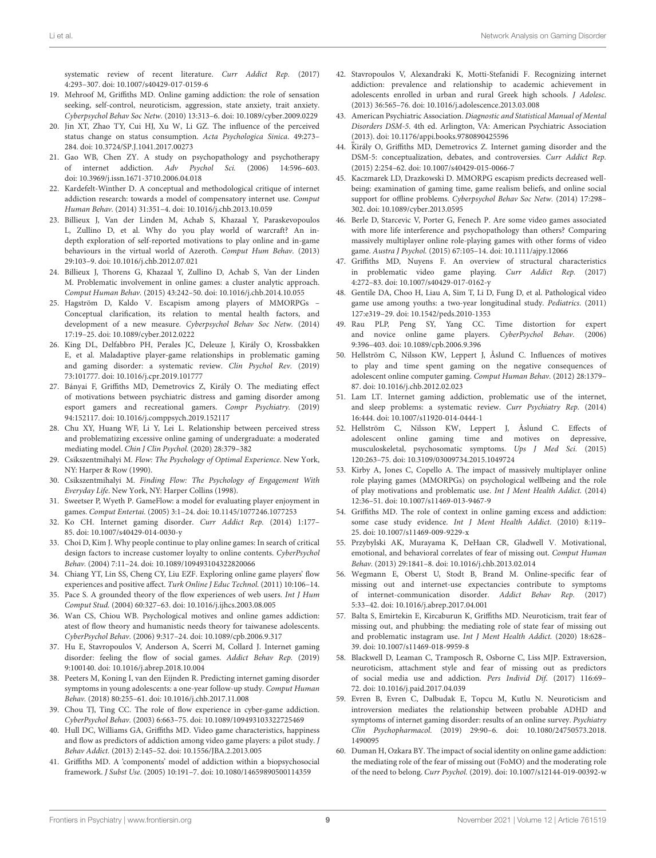systematic review of recent literature. Curr Addict Rep. (2017) 4:293–307. doi: [10.1007/s40429-017-0159-6](https://doi.org/10.1007/s40429-017-0159-6)

- <span id="page-8-0"></span>19. Mehroof M, Griffiths MD. Online gaming addiction: the role of sensation seeking, self-control, neuroticism, aggression, state anxiety, trait anxiety. Cyberpsychol Behav Soc Netw. (2010) 13:313–6. doi: [10.1089/cyber.2009.0229](https://doi.org/10.1089/cyber.2009.0229)
- <span id="page-8-1"></span>20. Jin XT, Zhao TY, Cui HJ, Xu W, Li GZ. The influence of the perceived status change on status consumption. Acta Psychologica Sinica. 49:273– 284. doi: [10.3724/SP.J.1041.2017.00273](https://doi.org/10.3724/SP.J.1041.2017.00273)
- <span id="page-8-2"></span>21. Gao WB, Chen ZY. A study on psychopathology and psychotherapy of internet addiction. Adv Psychol Sci. (2006) 14:596–603. doi: [10.3969/j.issn.1671-3710.2006.04.018](https://doi.org/10.3969/j.issn.1671-3710.2006.04.018)
- <span id="page-8-3"></span>Kardefelt-Winther D. A conceptual and methodological critique of internet addiction research: towards a model of compensatory internet use. Comput Human Behav. (2014) 31:351–4. doi: [10.1016/j.chb.2013.10.059](https://doi.org/10.1016/j.chb.2013.10.059)
- <span id="page-8-4"></span>23. Billieux J, Van der Linden M, Achab S, Khazaal Y, Paraskevopoulos L, Zullino D, et al. Why do you play world of warcraft? An indepth exploration of self-reported motivations to play online and in-game behaviours in the virtual world of Azeroth. Comput Hum Behav. (2013) 29:103–9. doi: [10.1016/j.chb.2012.07.021](https://doi.org/10.1016/j.chb.2012.07.021)
- 24. Billieux J, Thorens G, Khazaal Y, Zullino D, Achab S, Van der Linden M. Problematic involvement in online games: a cluster analytic approach. Comput Human Behav. (2015) 43:242–50. doi: [10.1016/j.chb.2014.10.055](https://doi.org/10.1016/j.chb.2014.10.055)
- 25. Hagström D, Kaldo V. Escapism among players of MMORPGs Conceptual clarification, its relation to mental health factors, and development of a new measure. Cyberpsychol Behav Soc Netw. (2014) 17:19–25. doi: [10.1089/cyber.2012.0222](https://doi.org/10.1089/cyber.2012.0222)
- <span id="page-8-5"></span>26. King DL, Delfabbro PH, Perales JC, Deleuze J, Király O, Krossbakken E, et al. Maladaptive player-game relationships in problematic gaming and gaming disorder: a systematic review. Clin Psychol Rev. (2019) 73:101777. doi: [10.1016/j.cpr.2019.101777](https://doi.org/10.1016/j.cpr.2019.101777)
- <span id="page-8-6"></span>27. Bányai F, Griffiths MD, Demetrovics Z, Király O. The mediating effect of motivations between psychiatric distress and gaming disorder among esport gamers and recreational gamers. Compr Psychiatry. (2019) 94:152117. doi: [10.1016/j.comppsych.2019.152117](https://doi.org/10.1016/j.comppsych.2019.152117)
- <span id="page-8-7"></span>28. Chu XY, Huang WF, Li Y, Lei L. Relationship between perceived stress and problematizing excessive online gaming of undergraduate: a moderated mediating model. Chin J Clin Psychol. (2020) 28:379–382
- <span id="page-8-8"></span>29. Csikszentmihalyi M. Flow: The Psychology of Optimal Experience. New York, NY: Harper & Row (1990).
- <span id="page-8-9"></span>30. Csikszentmihalyi M. Finding Flow: The Psychology of Engagement With Everyday Life. New York, NY: Harper Collins (1998).
- <span id="page-8-10"></span>31. Sweetser P, Wyeth P. GameFlow: a model for evaluating player enjoyment in games. Comput Entertai. (2005) 3:1–24. doi: [10.1145/1077246.1077253](https://doi.org/10.1145/1077246.1077253)
- <span id="page-8-11"></span>32. Ko CH. Internet gaming disorder. Curr Addict Rep. (2014) 1:177– 85. doi: [10.1007/s40429-014-0030-y](https://doi.org/10.1007/s40429-014-0030-y)
- <span id="page-8-12"></span>33. Choi D, Kim J. Why people continue to play online games: In search of critical design factors to increase customer loyalty to online contents. CyberPsychol Behav. (2004) 7:11–24. doi: [10.1089/109493104322820066](https://doi.org/10.1089/109493104322820066)
- <span id="page-8-13"></span>34. Chiang YT, Lin SS, Cheng CY, Liu EZF. Exploring online game players' flow experiences and positive affect. Turk Online J Educ Technol. (2011) 10:106–14.
- <span id="page-8-14"></span>35. Pace S. A grounded theory of the flow experiences of web users. Int J Hum Comput Stud. (2004) 60:327–63. doi: [10.1016/j.ijhcs.2003.08.005](https://doi.org/10.1016/j.ijhcs.2003.08.005)
- <span id="page-8-15"></span>36. Wan CS, Chiou WB. Psychological motives and online games addiction: atest of flow theory and humanistic needs theory for taiwanese adolescents. CyberPsychol Behav. (2006) 9:317–24. doi: [10.1089/cpb.2006.9.317](https://doi.org/10.1089/cpb.2006.9.317)
- <span id="page-8-20"></span>37. Hu E, Stavropoulos V, Anderson A, Scerri M, Collard J. Internet gaming disorder: feeling the flow of social games. Addict Behav Rep. (2019) 9:100140. doi: [10.1016/j.abrep.2018.10.004](https://doi.org/10.1016/j.abrep.2018.10.004)
- <span id="page-8-16"></span>38. Peeters M, Koning I, van den Eijnden R. Predicting internet gaming disorder symptoms in young adolescents: a one-year follow-up study. Comput Human Behav. (2018) 80:255–61. doi: [10.1016/j.chb.2017.11.008](https://doi.org/10.1016/j.chb.2017.11.008)
- <span id="page-8-17"></span>39. Chou TJ, Ting CC. The role of flow experience in cyber-game addiction. CyberPsychol Behav. (2003) 6:663–75. doi: [10.1089/109493103322725469](https://doi.org/10.1089/109493103322725469)
- <span id="page-8-18"></span>40. Hull DC, Williams GA, Griffiths MD. Video game characteristics, happiness and flow as predictors of addiction among video game players: a pilot study. J Behav Addict. (2013) 2:145–52. doi: [10.1556/JBA.2.2013.005](https://doi.org/10.1556/JBA.2.2013.005)
- <span id="page-8-19"></span>41. Griffiths MD. A 'components' model of addiction within a biopsychosocial framework. J Subst Use. (2005) 10:191–7. doi: [10.1080/14659890500114359](https://doi.org/10.1080/14659890500114359)
- <span id="page-8-21"></span>42. Stavropoulos V, Alexandraki K, Motti-Stefanidi F. Recognizing internet addiction: prevalence and relationship to academic achievement in adolescents enrolled in urban and rural Greek high schools. J Adolesc. (2013) 36:565–76. doi: [10.1016/j.adolescence.2013.03.008](https://doi.org/10.1016/j.adolescence.2013.03.008)
- <span id="page-8-22"></span>43. American Psychiatric Association. Diagnostic and Statistical Manual of Mental Disorders DSM-5. 4th ed. Arlington, VA: American Psychiatric Association (2013). doi: [10.1176/appi.books.9780890425596](https://doi.org/10.1176/appi.books.9780890425596)
- <span id="page-8-23"></span>44. Király O, Griffiths MD, Demetrovics Z. Internet gaming disorder and the DSM-5: conceptualization, debates, and controversies. Curr Addict Rep. (2015) 2:254–62. doi: [10.1007/s40429-015-0066-7](https://doi.org/10.1007/s40429-015-0066-7)
- <span id="page-8-24"></span>45. Kaczmarek LD, Drazkowski D. MMORPG escapism predicts decreased wellbeing: examination of gaming time, game realism beliefs, and online social support for offline problems. Cyberpsychol Behav Soc Netw. (2014) 17:298– 302. doi: [10.1089/cyber.2013.0595](https://doi.org/10.1089/cyber.2013.0595)
- <span id="page-8-25"></span>46. Berle D, Starcevic V, Porter G, Fenech P. Are some video games associated with more life interference and psychopathology than others? Comparing massively multiplayer online role-playing games with other forms of video game. Austra J Psychol. (2015) 67:105–14. doi: [10.1111/ajpy.12066](https://doi.org/10.1111/ajpy.12066)
- <span id="page-8-26"></span>47. Griffiths MD, Nuyens F. An overview of structural characteristics in problematic video game playing. Curr Addict Rep. (2017) 4:272–83. doi: [10.1007/s40429-017-0162-y](https://doi.org/10.1007/s40429-017-0162-y)
- <span id="page-8-27"></span>48. Gentile DA, Choo H, Liau A, Sim T, Li D, Fung D, et al. Pathological video game use among youths: a two-year longitudinal study. Pediatrics. (2011) 127:e319–29. doi: [10.1542/peds.2010-1353](https://doi.org/10.1542/peds.2010-1353)
- <span id="page-8-28"></span>49. Rau PLP, Peng SY, Yang CC. Time distortion for expert and novice online game players. CyberPsychol Behav. (2006) 9:396–403. doi: [10.1089/cpb.2006.9.396](https://doi.org/10.1089/cpb.2006.9.396)
- <span id="page-8-29"></span>50. Hellström C, Nilsson KW, Leppert J, Åslund C. Influences of motives to play and time spent gaming on the negative consequences of adolescent online computer gaming. Comput Human Behav. (2012) 28:1379– 87. doi: [10.1016/j.chb.2012.02.023](https://doi.org/10.1016/j.chb.2012.02.023)
- <span id="page-8-30"></span>51. Lam LT. Internet gaming addiction, problematic use of the internet, and sleep problems: a systematic review. Curr Psychiatry Rep. (2014) 16:444. doi: [10.1007/s11920-014-0444-1](https://doi.org/10.1007/s11920-014-0444-1)
- <span id="page-8-31"></span>52. Hellström C, Nilsson KW, Leppert J, Åslund C. Effects of adolescent online gaming time and motives on depressive, musculoskeletal, psychosomatic symptoms. Ups J Med Sci. (2015) 120:263–75. doi: [10.3109/03009734.2015.1049724](https://doi.org/10.3109/03009734.2015.1049724)
- <span id="page-8-32"></span>53. Kirby A, Jones C, Copello A. The impact of massively multiplayer online role playing games (MMORPGs) on psychological wellbeing and the role of play motivations and problematic use. Int J Ment Health Addict. (2014) 12:36–51. doi: [10.1007/s11469-013-9467-9](https://doi.org/10.1007/s11469-013-9467-9)
- <span id="page-8-33"></span>54. Griffiths MD. The role of context in online gaming excess and addiction: some case study evidence. Int J Ment Health Addict. (2010) 8:119– 25. doi: [10.1007/s11469-009-9229-x](https://doi.org/10.1007/s11469-009-9229-x)
- <span id="page-8-34"></span>55. Przybylski AK, Murayama K, DeHaan CR, Gladwell V. Motivational, emotional, and behavioral correlates of fear of missing out. Comput Human Behav. (2013) 29:1841–8. doi: [10.1016/j.chb.2013.02.014](https://doi.org/10.1016/j.chb.2013.02.014)
- <span id="page-8-35"></span>56. Wegmann E, Oberst U, Stodt B, Brand M. Online-specific fear of missing out and internet-use expectancies contribute to symptoms of internet-communication disorder. Addict Behav Rep. (2017) 5:33–42. doi: [10.1016/j.abrep.2017.04.001](https://doi.org/10.1016/j.abrep.2017.04.001)
- <span id="page-8-36"></span>57. Balta S, Emirtekin E, Kircaburun K, Griffiths MD. Neuroticism, trait fear of missing out, and phubbing: the mediating role of state fear of missing out and problematic instagram use. Int J Ment Health Addict. (2020) 18:628– 39. doi: [10.1007/s11469-018-9959-8](https://doi.org/10.1007/s11469-018-9959-8)
- <span id="page-8-37"></span>58. Blackwell D, Leaman C, Tramposch R, Osborne C, Liss MJP. Extraversion, neuroticism, attachment style and fear of missing out as predictors of social media use and addiction. Pers Individ Dif. (2017) 116:69– 72. doi: [10.1016/j.paid.2017.04.039](https://doi.org/10.1016/j.paid.2017.04.039)
- <span id="page-8-38"></span>59. Evren B, Evren C, Dalbudak E, Topcu M, Kutlu N. Neuroticism and introversion mediates the relationship between probable ADHD and symptoms of internet gaming disorder: results of an online survey. Psychiatry Clin Psychopharmacol. [\(2019\) 29:90–6. doi: 10.1080/24750573.2018.](https://doi.org/10.1080/24750573.2018.1490095) 1490095
- <span id="page-8-39"></span>60. Duman H, Ozkara BY. The impact of social identity on online game addiction: the mediating role of the fear of missing out (FoMO) and the moderating role of the need to belong. Curr Psychol. (2019). doi: [10.1007/s12144-019-00392-w](https://doi.org/10.1007/s12144-019-00392-w)